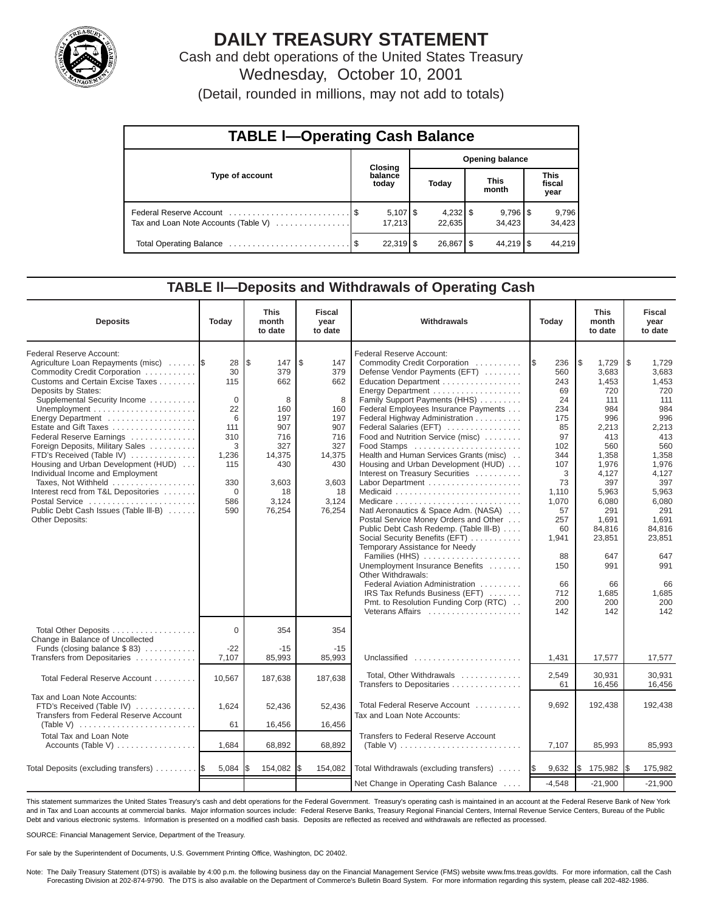

# **DAILY TREASURY STATEMENT**

Cash and debt operations of the United States Treasury Wednesday, October 10, 2001

(Detail, rounded in millions, may not add to totals)

| <b>TABLE I-Operating Cash Balance</b> |  |                      |                        |                      |  |                                 |  |                               |  |  |
|---------------------------------------|--|----------------------|------------------------|----------------------|--|---------------------------------|--|-------------------------------|--|--|
|                                       |  | Closing              | <b>Opening balance</b> |                      |  |                                 |  |                               |  |  |
| Type of account                       |  | balance<br>today     |                        | Today                |  | <b>This</b><br>month            |  | <b>This</b><br>fiscal<br>year |  |  |
| Tax and Loan Note Accounts (Table V)  |  | $5,107$ \$<br>17.213 |                        | $4,232$ \$<br>22.635 |  | $9,796$ $\frac{8}{3}$<br>34.423 |  | 9,796<br>34,423               |  |  |
|                                       |  | $22,319$ \$          |                        | 26,867   \$          |  | $44.219$ S                      |  | 44.219                        |  |  |

#### **TABLE ll—Deposits and Withdrawals of Operating Cash**

| <b>Deposits</b>                                                                                                                                                                                                                                                                                                                                                                                                                                                                                                                                                    | Today                                                                                                         | <b>This</b><br>month<br>to date                                                                                      | <b>Fiscal</b><br>year<br>to date                                                                                    | Withdrawals                                                                                                                                                                                                                                                                                                                                                                                                                                                                                                                                                                                                                                                                                                                                                                                                                                  |                                                                                                                                                                                      | <b>This</b><br>month<br>to date                                                                                                                                                                                      | <b>Fiscal</b><br>year<br>to date                                                                                                                                                                                     |
|--------------------------------------------------------------------------------------------------------------------------------------------------------------------------------------------------------------------------------------------------------------------------------------------------------------------------------------------------------------------------------------------------------------------------------------------------------------------------------------------------------------------------------------------------------------------|---------------------------------------------------------------------------------------------------------------|----------------------------------------------------------------------------------------------------------------------|---------------------------------------------------------------------------------------------------------------------|----------------------------------------------------------------------------------------------------------------------------------------------------------------------------------------------------------------------------------------------------------------------------------------------------------------------------------------------------------------------------------------------------------------------------------------------------------------------------------------------------------------------------------------------------------------------------------------------------------------------------------------------------------------------------------------------------------------------------------------------------------------------------------------------------------------------------------------------|--------------------------------------------------------------------------------------------------------------------------------------------------------------------------------------|----------------------------------------------------------------------------------------------------------------------------------------------------------------------------------------------------------------------|----------------------------------------------------------------------------------------------------------------------------------------------------------------------------------------------------------------------|
| Federal Reserve Account:<br>Agriculture Loan Repayments (misc)<br>Commodity Credit Corporation<br>Customs and Certain Excise Taxes<br>Deposits by States:<br>Supplemental Security Income<br>Energy Department<br>Estate and Gift Taxes<br>Federal Reserve Earnings<br>Foreign Deposits, Military Sales<br>FTD's Received (Table IV)<br>Housing and Urban Development (HUD)<br>Individual Income and Employment<br>Taxes, Not Withheld<br>Interest recd from T&L Depositories<br>Postal Service<br>Public Debt Cash Issues (Table III-B)<br><b>Other Deposits:</b> | 28<br>30<br>115<br>$\Omega$<br>22<br>6<br>111<br>310<br>3<br>1,236<br>115<br>330<br>$\mathbf 0$<br>586<br>590 | l \$<br>147<br>379<br>662<br>8<br>160<br>197<br>907<br>716<br>327<br>14,375<br>430<br>3,603<br>18<br>3,124<br>76,254 | ۱\$<br>147<br>379<br>662<br>8<br>160<br>197<br>907<br>716<br>327<br>14,375<br>430<br>3,603<br>18<br>3,124<br>76,254 | Federal Reserve Account:<br>Commodity Credit Corporation<br>Defense Vendor Payments (EFT)<br>Education Department<br>Energy Department<br>Family Support Payments (HHS)<br>Federal Employees Insurance Payments<br>Federal Highway Administration<br>Federal Salaries (EFT)<br>Food and Nutrition Service (misc)<br>Food Stamps<br>Health and Human Services Grants (misc)<br>Housing and Urban Development (HUD)<br>Interest on Treasury Securities<br>Natl Aeronautics & Space Adm. (NASA)<br>Postal Service Money Orders and Other<br>Public Debt Cash Redemp. (Table III-B)<br>Social Security Benefits (EFT)<br>Temporary Assistance for Needy<br>Families (HHS)<br>Unemployment Insurance Benefits<br>Other Withdrawals:<br>Federal Aviation Administration<br>IRS Tax Refunds Business (EFT)<br>Pmt. to Resolution Funding Corp (RTC) | 236<br>I\$<br>560<br>243<br>69<br>24<br>234<br>175<br>85<br>97<br>102<br>344<br>107<br>3<br>73<br>1,110<br>1,070<br>57<br>257<br>60<br>1,941<br>88<br>150<br>66<br>712<br>200<br>142 | 1\$<br>1,729<br>3,683<br>1.453<br>720<br>111<br>984<br>996<br>2,213<br>413<br>560<br>1,358<br>1,976<br>4,127<br>397<br>5,963<br>6,080<br>291<br>1,691<br>84,816<br>23,851<br>647<br>991<br>66<br>1,685<br>200<br>142 | l\$<br>1,729<br>3,683<br>1,453<br>720<br>111<br>984<br>996<br>2,213<br>413<br>560<br>1,358<br>1,976<br>4,127<br>397<br>5,963<br>6,080<br>291<br>1,691<br>84,816<br>23,851<br>647<br>991<br>66<br>1,685<br>200<br>142 |
| Total Other Deposits<br>Change in Balance of Uncollected<br>Funds (closing balance $$ 83)$                                                                                                                                                                                                                                                                                                                                                                                                                                                                         | $\Omega$<br>$-22$                                                                                             | 354<br>$-15$                                                                                                         | 354<br>$-15$                                                                                                        |                                                                                                                                                                                                                                                                                                                                                                                                                                                                                                                                                                                                                                                                                                                                                                                                                                              |                                                                                                                                                                                      |                                                                                                                                                                                                                      |                                                                                                                                                                                                                      |
| Transfers from Depositaries                                                                                                                                                                                                                                                                                                                                                                                                                                                                                                                                        | 7,107                                                                                                         | 85,993                                                                                                               | 85,993                                                                                                              | Unclassified                                                                                                                                                                                                                                                                                                                                                                                                                                                                                                                                                                                                                                                                                                                                                                                                                                 | 1,431                                                                                                                                                                                | 17,577                                                                                                                                                                                                               | 17,577                                                                                                                                                                                                               |
| Total Federal Reserve Account                                                                                                                                                                                                                                                                                                                                                                                                                                                                                                                                      | 10,567                                                                                                        | 187,638                                                                                                              | 187,638                                                                                                             | Total, Other Withdrawals<br>Transfers to Depositaries                                                                                                                                                                                                                                                                                                                                                                                                                                                                                                                                                                                                                                                                                                                                                                                        | 2,549<br>61                                                                                                                                                                          | 30.931<br>16,456                                                                                                                                                                                                     | 30.931<br>16,456                                                                                                                                                                                                     |
| Tax and Loan Note Accounts:<br>FTD's Received (Table IV)<br>Transfers from Federal Reserve Account                                                                                                                                                                                                                                                                                                                                                                                                                                                                 | 1,624<br>61                                                                                                   | 52,436<br>16,456                                                                                                     | 52,436<br>16,456                                                                                                    | Total Federal Reserve Account<br>Tax and Loan Note Accounts:                                                                                                                                                                                                                                                                                                                                                                                                                                                                                                                                                                                                                                                                                                                                                                                 | 9,692                                                                                                                                                                                | 192,438                                                                                                                                                                                                              | 192,438                                                                                                                                                                                                              |
| <b>Total Tax and Loan Note</b><br>Accounts (Table V)                                                                                                                                                                                                                                                                                                                                                                                                                                                                                                               | 1,684                                                                                                         | 68,892                                                                                                               | 68,892                                                                                                              | <b>Transfers to Federal Reserve Account</b><br>(Table V) $\ldots \ldots \ldots \ldots \ldots \ldots \ldots \ldots \ldots$                                                                                                                                                                                                                                                                                                                                                                                                                                                                                                                                                                                                                                                                                                                    | 7,107                                                                                                                                                                                | 85,993                                                                                                                                                                                                               | 85,993                                                                                                                                                                                                               |
|                                                                                                                                                                                                                                                                                                                                                                                                                                                                                                                                                                    |                                                                                                               |                                                                                                                      |                                                                                                                     |                                                                                                                                                                                                                                                                                                                                                                                                                                                                                                                                                                                                                                                                                                                                                                                                                                              |                                                                                                                                                                                      |                                                                                                                                                                                                                      |                                                                                                                                                                                                                      |
| Total Deposits (excluding transfers)  \$                                                                                                                                                                                                                                                                                                                                                                                                                                                                                                                           | 5,084                                                                                                         | 154,082                                                                                                              | 154,082<br>I\$                                                                                                      | Total Withdrawals (excluding transfers)                                                                                                                                                                                                                                                                                                                                                                                                                                                                                                                                                                                                                                                                                                                                                                                                      | 9,632<br><b>IS</b>                                                                                                                                                                   | l\$<br>175,982                                                                                                                                                                                                       | 175,982<br>I\$                                                                                                                                                                                                       |
|                                                                                                                                                                                                                                                                                                                                                                                                                                                                                                                                                                    |                                                                                                               |                                                                                                                      |                                                                                                                     | Net Change in Operating Cash Balance                                                                                                                                                                                                                                                                                                                                                                                                                                                                                                                                                                                                                                                                                                                                                                                                         | $-4,548$                                                                                                                                                                             | $-21,900$                                                                                                                                                                                                            | $-21,900$                                                                                                                                                                                                            |

This statement summarizes the United States Treasury's cash and debt operations for the Federal Government. Treasury's operating cash is maintained in an account at the Federal Reserve Bank of New York and in Tax and Loan accounts at commercial banks. Major information sources include: Federal Reserve Banks, Treasury Regional Financial Centers, Internal Revenue Service Centers, Bureau of the Public Debt and various electronic systems. Information is presented on a modified cash basis. Deposits are reflected as received and withdrawals are reflected as processed.

SOURCE: Financial Management Service, Department of the Treasury.

For sale by the Superintendent of Documents, U.S. Government Printing Office, Washington, DC 20402.

Note: The Daily Treasury Statement (DTS) is available by 4:00 p.m. the following business day on the Financial Management Service (FMS) website www.fms.treas.gov/dts. For more information, call the Cash Forecasting Division at 202-874-9790. The DTS is also available on the Department of Commerce's Bulletin Board System. For more information regarding this system, please call 202-482-1986.